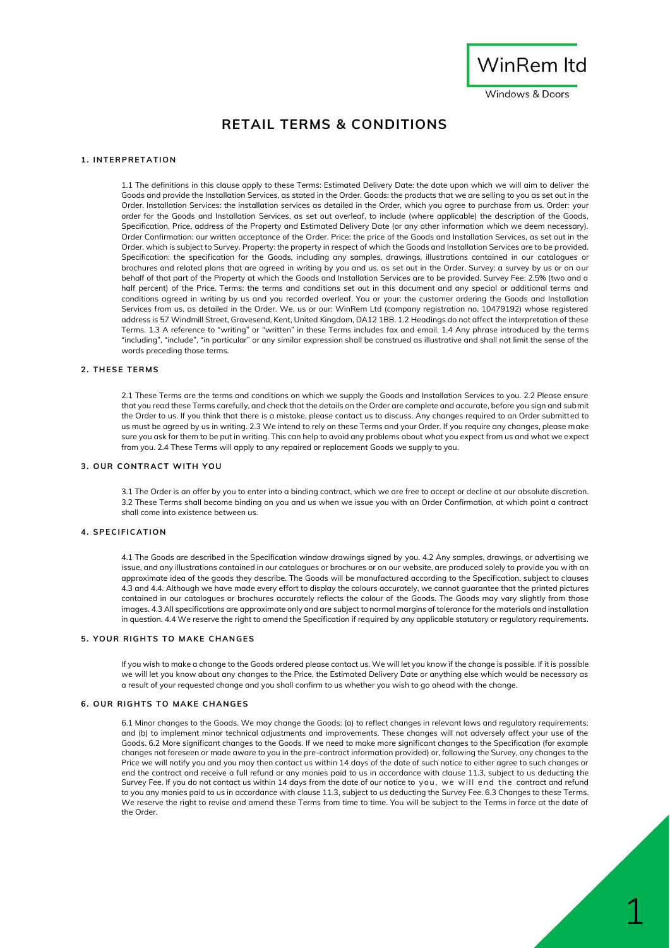

**Windows & Doors** 

# **RETAIL TERMS & CONDITIONS**

### **1 . I N TE R P R E T AT IO N**

1.1 The definitions in this clause apply to these Terms: Estimated Delivery Date: the date upon which we will aim to deliver the Goods and provide the Installation Services, as stated in the Order. Goods: the products that we are selling to you as set out in the Order. Installation Services: the installation services as detailed in the Order, which you agree to purchase from us. Order: your order for the Goods and Installation Services, as set out overleaf, to include (where applicable) the description of the Goods, Specification, Price, address of the Property and Estimated Delivery Date (or any other information which we deem necessary). Order Confirmation: our written acceptance of the Order. Price: the price of the Goods and Installation Services, as set out in the Order, which is subject to Survey. Property: the property in respect of which the Goods and Installation Services are to be provided. Specification: the specification for the Goods, including any samples, drawings, illustrations contained in our catalogues or brochures and related plans that are agreed in writing by you and us, as set out in the Order. Survey: a survey by us or on our behalf of that part of the Property at which the Goods and Installation Services are to be provided. Survey Fee: 2.5% (two and a half percent) of the Price. Terms: the terms and conditions set out in this document and any special or additional terms and conditions agreed in writing by us and you recorded overleaf. You or your: the customer ordering the Goods and Installation Services from us, as detailed in the Order. We, us or our: WinRem Ltd (company registration no. 10479192) whose registered address is 57 Windmill Street, Gravesend, Kent, United Kingdom, DA12 1BB. 1.2 Headings do not affect the interpretation of these Terms. 1.3 A reference to "writing" or "written" in these Terms includes fax and email. 1.4 Any phrase introduced by the terms "including", "include", "in particular" or any similar expression shall be construed as illustrative and shall not limit the sense of the words preceding those terms.

#### **2 . T H E SE T E R MS**

2.1 These Terms are the terms and conditions on which we supply the Goods and Installation Services to you. 2.2 Please ensure that you read these Terms carefully, and check that the details on the Order are complete and accurate, before you sign and submit the Order to us. If you think that there is a mistake, please contact us to discuss. Any changes required to an Order submitted to us must be agreed by us in writing. 2.3 We intend to rely on these Terms and your Order. If you require any changes, please make sure you ask for them to be put in writing. This can help to avoid any problems about what you expect from us and what we expect from you. 2.4 These Terms will apply to any repaired or replacement Goods we supply to you.

## **3. OUR CONTRACT WITH YOU**

3.1 The Order is an offer by you to enter into a binding contract, which we are free to accept or decline at our absolute discretion. 3.2 These Terms shall become binding on you and us when we issue you with an Order Confirmation, at which point a contract shall come into existence between us.

#### **4 . SP E C I FI C AT I O N**

4.1 The Goods are described in the Specification window drawings signed by you. 4.2 Any samples, drawings, or advertising we issue, and any illustrations contained in our catalogues or brochures or on our website, are produced solely to provide you with an approximate idea of the goods they describe. The Goods will be manufactured according to the Specification, subject to clauses 4.3 and 4.4. Although we have made every effort to display the colours accurately, we cannot guarantee that the printed pictures contained in our catalogues or brochures accurately reflects the colour of the Goods. The Goods may vary slightly from those images. 4.3 All specifications are approximate only and are subject to normal margins of tolerance for the materials and installation in question. 4.4 We reserve the right to amend the Specification if required by any applicable statutory or regulatory requirements.

## **5. YOUR RIGHTS TO MAKE CHANGES**

If you wish to make a change to the Goods ordered please contact us. We will let you know if the change is possible. If it is possible we will let you know about any changes to the Price, the Estimated Delivery Date or anything else which would be necessary as a result of your requested change and you shall confirm to us whether you wish to go ahead with the change.

#### **6. OUR RIGHTS TO MAKE CHANGES**

6.1 Minor changes to the Goods. We may change the Goods: (a) to reflect changes in relevant laws and regulatory requirements; and (b) to implement minor technical adjustments and improvements. These changes will not adversely affect your use of the Goods. 6.2 More significant changes to the Goods. If we need to make more significant changes to the Specification (for example changes not foreseen or made aware to you in the pre-contract information provided) or, following the Survey, any changes to the Price we will notify you and you may then contact us within 14 days of the date of such notice to either agree to such changes or end the contract and receive a full refund or any monies paid to us in accordance with clause 11.3, subject to us deducting the Survey Fee. If you do not contact us within 14 days from the date of our notice to you, we will end the contract and refund to you any monies paid to us in accordance with clause 11.3, subject to us deducting the Survey Fee. 6.3 Changes to these Terms. We reserve the right to revise and amend these Terms from time to time. You will be subject to the Terms in force at the date of the Order.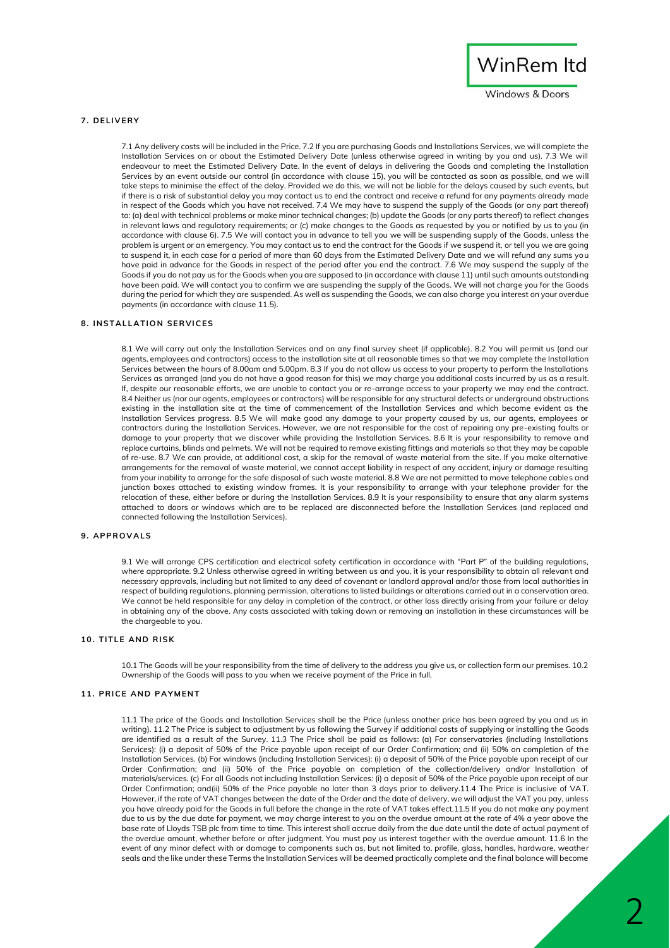

**Windows & Doors** 

## **7 . DE LI V E RY**

7.1 Any delivery costs will be included in the Price. 7.2 If you are purchasing Goods and Installations Services, we will complete the Installation Services on or about the Estimated Delivery Date (unless otherwise agreed in writing by you and us). 7.3 We will endeavour to meet the Estimated Delivery Date. In the event of delays in delivering the Goods and completing the Installation Services by an event outside our control (in accordance with clause 15), you will be contacted as soon as possible, and we will take steps to minimise the effect of the delay. Provided we do this, we will not be liable for the delays caused by such events, but if there is a risk of substantial delay you may contact us to end the contract and receive a refund for any payments already made in respect of the Goods which you have not received. 7.4 We may have to suspend the supply of the Goods (or any part thereof) to: (a) deal with technical problems or make minor technical changes; (b) update the Goods (or any parts thereof) to reflect changes in relevant laws and regulatory requirements; or (c) make changes to the Goods as requested by you or notified by us to you (in accordance with clause 6). 7.5 We will contact you in advance to tell you we will be suspending supply of the Goods, unless the problem is urgent or an emergency. You may contact us to end the contract for the Goods if we suspend it, or tell you we are going to suspend it, in each case for a period of more than 60 days from the Estimated Delivery Date and we will refund any sums you have paid in advance for the Goods in respect of the period after you end the contract. 7.6 We may suspend the supply of the Goods if you do not pay us for the Goods when you are supposed to (in accordance with clause 11) until such amounts outstanding have been paid. We will contact you to confirm we are suspending the supply of the Goods. We will not charge you for the Goods during the period for which they are suspended. As well as suspending the Goods, we can also charge you interest on your overdue payments (in accordance with clause 11.5).

#### **8. INSTALLATION SERVICES**

8.1 We will carry out only the Installation Services and on any final survey sheet (if applicable). 8.2 You will permit us (and our agents, employees and contractors) access to the installation site at all reasonable times so that we may complete the Installation Services between the hours of 8.00am and 5.00pm. 8.3 If you do not allow us access to your property to perform the Installations Services as arranged (and you do not have a good reason for this) we may charge you additional costs incurred by us as a result. If, despite our reasonable efforts, we are unable to contact you or re-arrange access to your property we may end the contract. 8.4 Neither us (nor our agents, employees or contractors) will be responsible for any structural defects or underground obstructions existing in the installation site at the time of commencement of the Installation Services and which become evident as the Installation Services progress. 8.5 We will make good any damage to your property caused by us, our agents, employees or contractors during the Installation Services. However, we are not responsible for the cost of repairing any pre-existing faults or damage to your property that we discover while providing the Installation Services. 8.6 It is your responsibility to remove and replace curtains, blinds and pelmets. We will not be required to remove existing fittings and materials so that they may be capable of re-use. 8.7 We can provide, at additional cost, a skip for the removal of waste material from the site. If you make alternative arrangements for the removal of waste material, we cannot accept liability in respect of any accident, injury or damage resulting from your inability to arrange for the safe disposal of such waste material. 8.8 We are not permitted to move telephone cables and junction boxes attached to existing window frames. It is your responsibility to arrange with your telephone provider for the relocation of these, either before or during the Installation Services. 8.9 It is your responsibility to ensure that any alarm systems attached to doors or windows which are to be replaced are disconnected before the Installation Services (and replaced and connected following the Installation Services).

#### **9 . AP P R O V AL S**

9.1 We will arrange CPS certification and electrical safety certification in accordance with "Part P" of the building regulations, where appropriate. 9.2 Unless otherwise agreed in writing between us and you, it is your responsibility to obtain all relevant and necessary approvals, including but not limited to any deed of covenant or landlord approval and/or those from local authorities in respect of building regulations, planning permission, alterations to listed buildings or alterations carried out in a conservation area. We cannot be held responsible for any delay in completion of the contract, or other loss directly arising from your failure or delay in obtaining any of the above. Any costs associated with taking down or removing an installation in these circumstances will be the chargeable to you.

#### **1 0 . T I TL E AN D R I SK**

10.1 The Goods will be your responsibility from the time of delivery to the address you give us, or collection form our premises. 10.2 Ownership of the Goods will pass to you when we receive payment of the Price in full.

#### **11. PRICE AND PAYMENT**

11.1 The price of the Goods and Installation Services shall be the Price (unless another price has been agreed by you and us in writing). 11.2 The Price is subject to adjustment by us following the Survey if additional costs of supplying or installing the Goods are identified as a result of the Survey. 11.3 The Price shall be paid as follows: (a) For conservatories (including Installations Services): (i) a deposit of 50% of the Price payable upon receipt of our Order Confirmation; and (ii) 50% on completion of the Installation Services. (b) For windows (including Installation Services): (i) a deposit of 50% of the Price payable upon receipt of our Order Confirmation; and (ii) 50% of the Price payable on completion of the collection/delivery and/or Installation of materials/services. (c) For all Goods not including Installation Services: (i) a deposit of 50% of the Price payable upon receipt of our Order Confirmation; and(ii) 50% of the Price payable no later than 3 days prior to delivery.11.4 The Price is inclusive of VAT. However, if the rate of VAT changes between the date of the Order and the date of delivery, we will adjust the VAT you pay, unless you have already paid for the Goods in full before the change in the rate of VAT takes effect.11.5 If you do not make any payment due to us by the due date for payment, we may charge interest to you on the overdue amount at the rate of 4% a year above the base rate of Lloyds TSB plc from time to time. This interest shall accrue daily from the due date until the date of actual payment of the overdue amount, whether before or after judgment. You must pay us interest together with the overdue amount. 11.6 In the event of any minor defect with or damage to components such as, but not limited to, profile, glass, handles, hardware, weather seals and the like under these Terms the Installation Services will be deemed practically complete and the final balance will become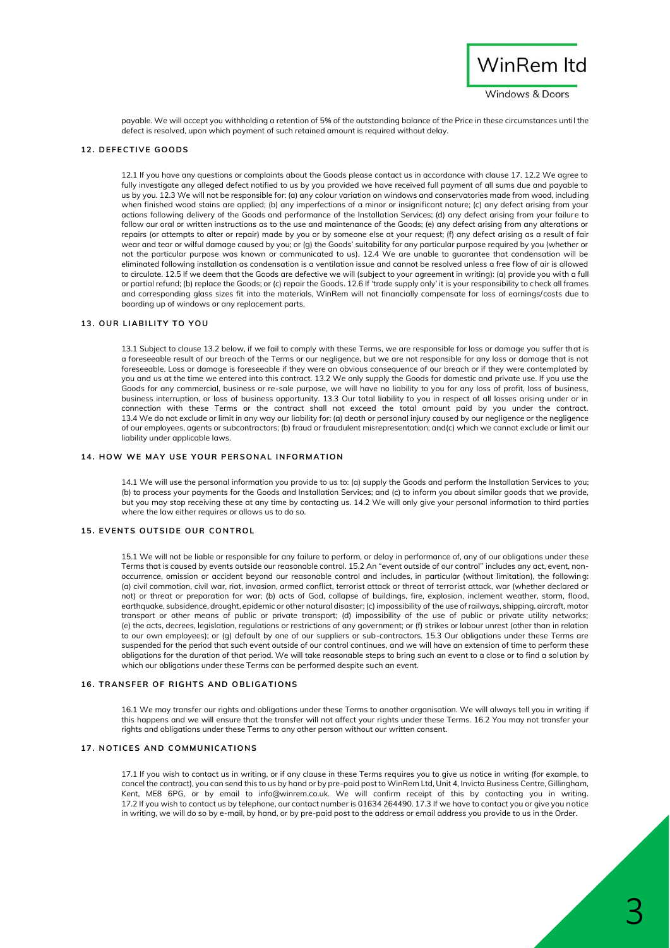

payable. We will accept you withholding a retention of 5% of the outstanding balance of the Price in these circumstances until the defect is resolved, upon which payment of such retained amount is required without delay.

#### **1 2 . DE FE C TI V E G O O DS**

12.1 If you have any questions or complaints about the Goods please contact us in accordance with clause 17. 12.2 We agree to fully investigate any alleged defect notified to us by you provided we have received full payment of all sums due and payable to us by you. 12.3 We will not be responsible for: (a) any colour variation on windows and conservatories made from wood, including when finished wood stains are applied; (b) any imperfections of a minor or insignificant nature; (c) any defect arising from your actions following delivery of the Goods and performance of the Installation Services; (d) any defect arising from your failure to follow our oral or written instructions as to the use and maintenance of the Goods; (e) any defect arising from any alterations or repairs (or attempts to alter or repair) made by you or by someone else at your request; (f) any defect arising as a result of fair wear and tear or wilful damage caused by you; or (g) the Goods' suitability for any particular purpose required by you (whether or not the particular purpose was known or communicated to us). 12.4 We are unable to guarantee that condensation will be eliminated following installation as condensation is a ventilation issue and cannot be resolved unless a free flow of air is allowed to circulate. 12.5 If we deem that the Goods are defective we will (subject to your agreement in writing): (a) provide you with a full or partial refund; (b) replace the Goods; or (c) repair the Goods. 12.6 If 'trade supply only' it is your responsibility to check all frames and corresponding glass sizes fit into the materials, WinRem will not financially compensate for loss of earnings/costs due to boarding up of windows or any replacement parts.

#### **1 3 . O U R LI AB I LI T Y T O Y O U**

13.1 Subject to clause 13.2 below, if we fail to comply with these Terms, we are responsible for loss or damage you suffer that is a foreseeable result of our breach of the Terms or our negligence, but we are not responsible for any loss or damage that is not foreseeable. Loss or damage is foreseeable if they were an obvious consequence of our breach or if they were contemplated by you and us at the time we entered into this contract. 13.2 We only supply the Goods for domestic and private use. If you use the Goods for any commercial, business or re-sale purpose, we will have no liability to you for any loss of profit, loss of business, business interruption, or loss of business opportunity. 13.3 Our total liability to you in respect of all losses arising under or in connection with these Terms or the contract shall not exceed the total amount paid by you under the contract. 13.4 We do not exclude or limit in any way our liability for: (a) death or personal injury caused by our negligence or the negligence of our employees, agents or subcontractors; (b) fraud or fraudulent misrepresentation; and(c) which we cannot exclude or limit our liability under applicable laws.

## **14 HOW WE MAY USE YOUR PERSONAL INFORMATION**

14.1 We will use the personal information you provide to us to: (a) supply the Goods and perform the Installation Services to you; (b) to process your payments for the Goods and Installation Services; and (c) to inform you about similar goods that we provide, but you may stop receiving these at any time by contacting us. 14.2 We will only give your personal information to third parties where the law either requires or allows us to do so.

#### **15. EVENTS OUTSIDE OUR CONTROL**

15.1 We will not be liable or responsible for any failure to perform, or delay in performance of, any of our obligations under these Terms that is caused by events outside our reasonable control. 15.2 An "event outside of our control" includes any act, event, nonoccurrence, omission or accident beyond our reasonable control and includes, in particular (without limitation), the following: (a) civil commotion, civil war, riot, invasion, armed conflict, terrorist attack or threat of terrorist attack, war (whether declared or not) or threat or preparation for war; (b) acts of God, collapse of buildings, fire, explosion, inclement weather, storm, flood, earthquake, subsidence, drought, epidemic or other natural disaster; (c) impossibility of the use of railways, shipping, aircraft, motor transport or other means of public or private transport; (d) impossibility of the use of public or private utility networks; (e) the acts, decrees, legislation, regulations or restrictions of any government; or (f) strikes or labour unrest (other than in relation to our own employees); or (g) default by one of our suppliers or sub-contractors. 15.3 Our obligations under these Terms are suspended for the period that such event outside of our control continues, and we will have an extension of time to perform these obligations for the duration of that period. We will take reasonable steps to bring such an event to a close or to find a solution by which our obligations under these Terms can be performed despite such an event.

## **16. TRANSFER OF RIGHTS AND OBLIGATIONS**

16.1 We may transfer our rights and obligations under these Terms to another organisation. We will always tell you in writing if this happens and we will ensure that the transfer will not affect your rights under these Terms. 16.2 You may not transfer your rights and obligations under these Terms to any other person without our written consent.

## **17. NOTICES AND COMMUNICATIONS**

17.1 If you wish to contact us in writing, or if any clause in these Terms requires you to give us notice in writing (for example, to cancel the contract), you can send this to us by hand or by pre-paid post to WinRem Ltd, Unit 4, Invicta Business Centre, Gillingham, Kent, ME8 6PG, or by email to info@winrem.co.uk. We will confirm receipt of this by contacting you in writing. 17.2 If you wish to contact us by telephone, our contact number is 01634 264490. 17.3 If we have to contact you or give you notice in writing, we will do so by e-mail, by hand, or by pre-paid post to the address or email address you provide to us in the Order.